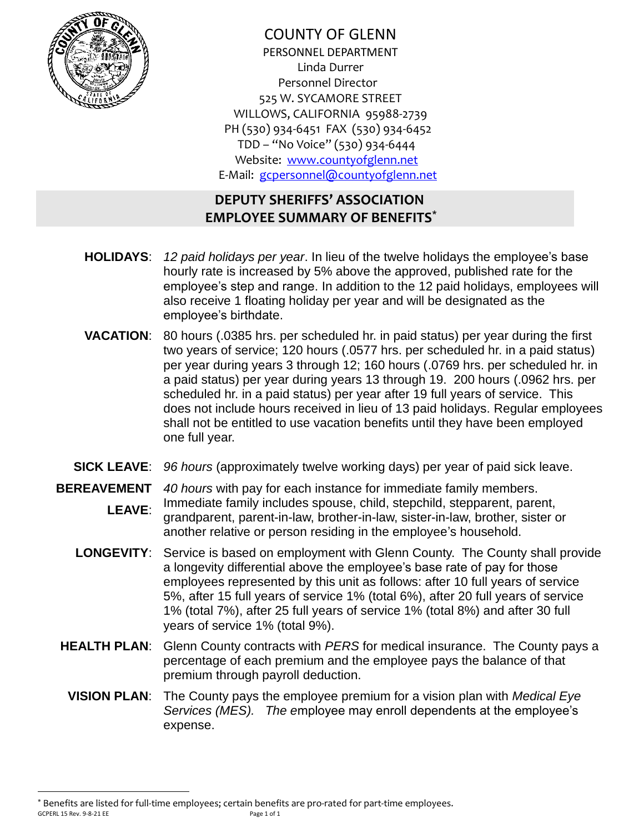

COUNTY OF GLENN PERSONNEL DEPARTMENT Linda Durrer Personnel Director 525 W. SYCAMORE STREET WILLOWS, CALIFORNIA 95988-2739 PH (530) 934-6451 FAX (530) 934-6452 TDD – "No Voice" (530) 934-6444 Website: [www.countyofglenn.net](http://www.countyofglenn.net/) E-Mail: [gcpersonnel@countyofglenn.net](mailto:gcpersonnel@countyofglenn.net)

# **DEPUTY SHERIFFS' ASSOCIATION EMPLOYEE SUMMARY OF BENEFITS\***

- **HOLIDAYS**: *12 paid holidays per year*. In lieu of the twelve holidays the employee's base hourly rate is increased by 5% above the approved, published rate for the employee's step and range. In addition to the 12 paid holidays, employees will also receive 1 floating holiday per year and will be designated as the employee's birthdate.
- **VACATION**: 80 hours (.0385 hrs. per scheduled hr. in paid status) per year during the first two years of service; 120 hours (.0577 hrs. per scheduled hr. in a paid status) per year during years 3 through 12; 160 hours (.0769 hrs. per scheduled hr. in a paid status) per year during years 13 through 19. 200 hours (.0962 hrs. per scheduled hr. in a paid status) per year after 19 full years of service. This does not include hours received in lieu of 13 paid holidays. Regular employees shall not be entitled to use vacation benefits until they have been employed one full year.
- **SICK LEAVE**: *96 hours* (approximately twelve working days) per year of paid sick leave.
- **BEREAVEMENT**  *40 hours* with pay for each instance for immediate family members. **LEAVE**: Immediate family includes spouse, child, stepchild, stepparent, parent, grandparent, parent-in-law, brother-in-law, sister-in-law, brother, sister or another relative or person residing in the employee's household.
	- **LONGEVITY**: Service is based on employment with Glenn County. The County shall provide a longevity differential above the employee's base rate of pay for those employees represented by this unit as follows: after 10 full years of service 5%, after 15 full years of service 1% (total 6%), after 20 full years of service 1% (total 7%), after 25 full years of service 1% (total 8%) and after 30 full years of service 1% (total 9%).
	- **HEALTH PLAN**: Glenn County contracts with *PERS* for medical insurance. The County pays a percentage of each premium and the employee pays the balance of that premium through payroll deduction.
		- **VISION PLAN**: The County pays the employee premium for a vision plan with *Medical Eye Services (MES). The e*mployee may enroll dependents at the employee's expense.

GCPERL 15 Rev. 9-8-21 EE Page 1 of 1 \* Benefits are listed for full-time employees; certain benefits are pro-rated for part-time employees.